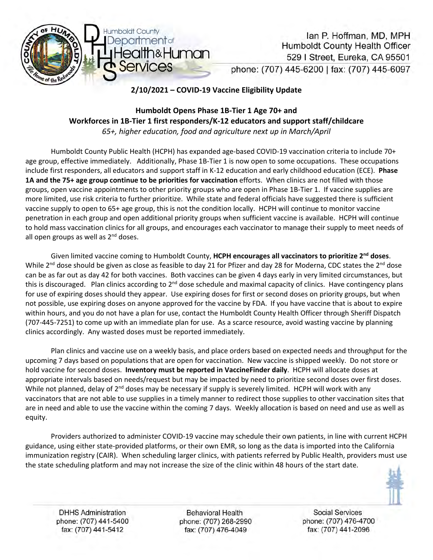

Ian P. Hoffman, MD, MPH **Humboldt County Health Officer** 529 | Street, Eureka, CA 95501 phone: (707) 445-6200 | fax: (707) 445-6097

# **2/10/2021 – COVID-19 Vaccine Eligibility Update**

# **Humboldt Opens Phase 1B-Tier 1 Age 70+ and Workforces in 1B-Tier 1 first responders/K-12 educators and support staff/childcare** *65+, higher education, food and agriculture next up in March/April*

Humboldt County Public Health (HCPH) has expanded age-based COVID-19 vaccination criteria to include 70+ age group, effective immediately. Additionally, Phase 1B-Tier 1 is now open to some occupations. These occupations include first responders, all educators and support staff in K-12 education and early childhood education (ECE). **Phase 1A and the 75+ age group continue to be priorities for vaccination** efforts. When clinics are not filled with those groups, open vaccine appointments to other priority groups who are open in Phase 1B-Tier 1. If vaccine supplies are more limited, use risk criteria to further prioritize. While state and federal officials have suggested there is sufficient vaccine supply to open to 65+ age group, this is not the condition locally. HCPH will continue to monitor vaccine penetration in each group and open additional priority groups when sufficient vaccine is available. HCPH will continue to hold mass vaccination clinics for all groups, and encourages each vaccinator to manage their supply to meet needs of all open groups as well as  $2<sup>nd</sup>$  doses.

Given limited vaccine coming to Humboldt County, **HCPH encourages all vaccinators to prioritize 2nd doses**. While 2<sup>nd</sup> dose should be given as close as feasible to day 21 for Pfizer and day 28 for Moderna, CDC states the 2<sup>nd</sup> dose can be as far out as day 42 for both vaccines. Both vaccines can be given 4 days early in very limited circumstances, but this is discouraged. Plan clinics according to 2<sup>nd</sup> dose schedule and maximal capacity of clinics. Have contingency plans for use of expiring doses should they appear. Use expiring doses for first or second doses on priority groups, but when not possible, use expiring doses on anyone approved for the vaccine by FDA. If you have vaccine that is about to expire within hours, and you do not have a plan for use, contact the Humboldt County Health Officer through Sheriff Dispatch (707-445-7251) to come up with an immediate plan for use. As a scarce resource, avoid wasting vaccine by planning clinics accordingly. Any wasted doses must be reported immediately.

Plan clinics and vaccine use on a weekly basis, and place orders based on expected needs and throughput for the upcoming 7 days based on populations that are open for vaccination. New vaccine is shipped weekly. Do not store or hold vaccine for second doses. **Inventory must be reported in VaccineFinder daily**. HCPH will allocate doses at appropriate intervals based on needs/request but may be impacted by need to prioritize second doses over first doses. While not planned, delay of 2<sup>nd</sup> doses may be necessary if supply is severely limited. HCPH will work with any vaccinators that are not able to use supplies in a timely manner to redirect those supplies to other vaccination sites that are in need and able to use the vaccine within the coming 7 days. Weekly allocation is based on need and use as well as equity.

Providers authorized to administer COVID-19 vaccine may schedule their own patients, in line with current HCPH guidance, using either state-provided platforms, or their own EMR, so long as the data is imported into the California immunization registry (CAIR). When scheduling larger clinics, with patients referred by Public Health, providers must use the state scheduling platform and may not increase the size of the clinic within 48 hours of the start date.



**DHHS Administration** phone: (707) 441-5400 fax: (707) 441-5412

**Behavioral Health** phone: (707) 268-2990 fax: (707) 476-4049

**Social Services** phone: (707) 476-4700 fax: (707) 441-2096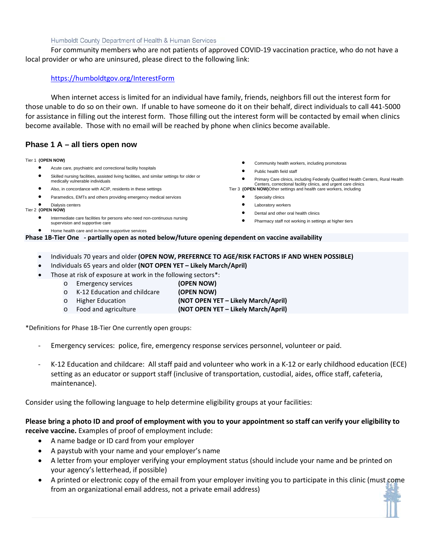#### Humboldt County Department of Health & Human Services

For community members who are not patients of approved COVID-19 vaccination practice, who do not have a local provider or who are uninsured, please direct to the following link:

### <https://humboldtgov.org/InterestForm>

When internet access is limited for an individual have family, friends, neighbors fill out the interest form for those unable to do so on their own. If unable to have someone do it on their behalf, direct individuals to call 441-5000 for assistance in filling out the interest form. Those filling out the interest form will be contacted by email when clinics become available. Those with no email will be reached by phone when clinics become available.

## **Phase 1 A – all tiers open now**

#### Tier 1 **(OPEN NOW)**

- Acute care, psychiatric and correctional facility hospitals
- Skilled nursing facilities, assisted living facilities, and similar settings for older or medically vulnerable individuals
- Also, in concordance with ACIP, residents in these settings
- Paramedics, EMTs and others providing emergency medical services

#### • Dialysis centers Tier 2 **(OPEN NOW)**

- Intermediate care facilities for persons who need non-continuous nursing supervision and supportive care
- Home health care and in-home supportive services
- Community health workers, including promotoras
- Public health field staff
- Primary Care clinics, including Federally Qualified Health Centers, Rural Health Centers, correctional facility clinics, and urgent care clinics
- Tier 3 **(OPEN NOW)**Other settings and health care workers, including
	- **•** Specialty clinics
	- Laboratory workers
	- Dental and other oral health clinics
	- Pharmacy staff not working in settings at higher tiers

**Phase 1B-Tier One - partially open as noted below/future opening dependent on vaccine availability**

- Individuals 70 years and older **(OPEN NOW, PREFERNCE TO AGE/RISK FACTORS IF AND WHEN POSSIBLE)**
- Individuals 65 years and older **(NOT OPEN YET Likely March/April)**
- Those at risk of exposure at work in the following sectors\*:
	-
	- o Emergency services **(OPEN NOW)** o K-12 Education and childcare<br> **b** Higher Education (NOT OPEN YET – Likely March/April) o Food and agriculture **(NOT OPEN YET – Likely March/April)**

\*Definitions for Phase 1B-Tier One currently open groups:

- Emergency services: police, fire, emergency response services personnel, volunteer or paid.
- K-12 Education and childcare: All staff paid and volunteer who work in a K-12 or early childhood education (ECE) setting as an educator or support staff (inclusive of transportation, custodial, aides, office staff, cafeteria, maintenance).

Consider using the following language to help determine eligibility groups at your facilities:

### **Please bring a photo ID and proof of employment with you to your appointment so staff can verify your eligibility to receive vaccine.** Examples of proof of employment include:

- A name badge or ID card from your employer
- A paystub with your name and your employer's name
- A letter from your employer verifying your employment status (should include your name and be printed on your agency's letterhead, if possible)
- A printed or electronic copy of the email from your employer inviting you to participate in this clinic (must come from an organizational email address, not a private email address)